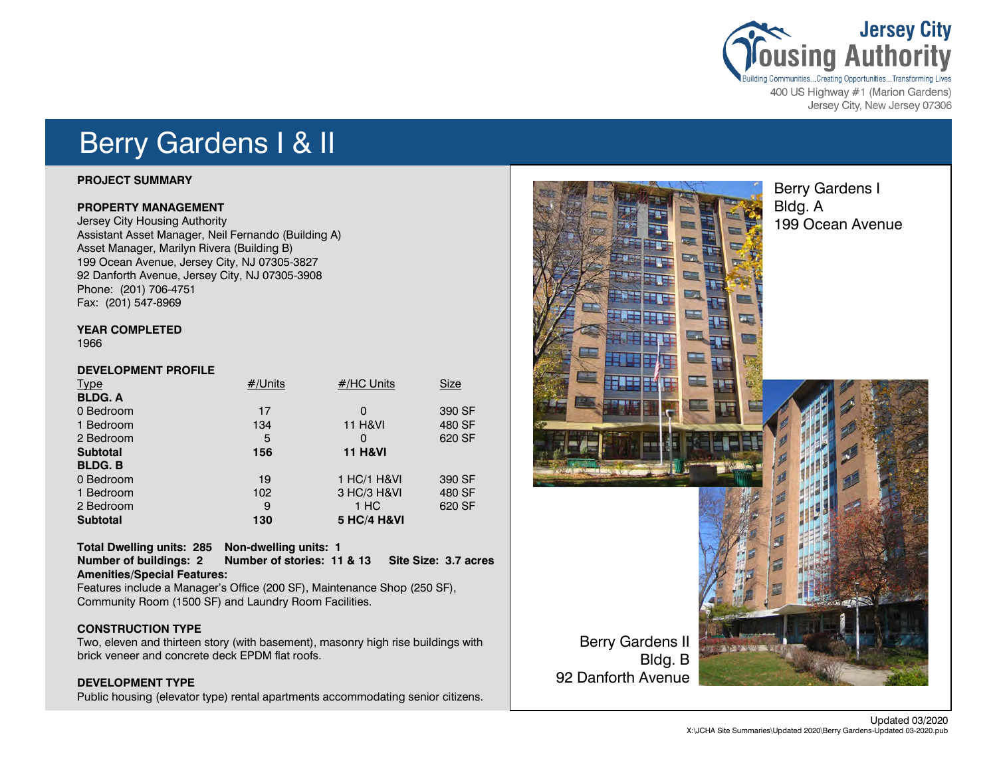

400 US Highway #1 (Marion Gardens) Jersey City, New Jersey 07306

## Berry Gardens I & II

### **PROJECT SUMMARY**

### **PROPERTY MANAGEMENT**

Jersey City Housing Authority Assistant Asset Manager, Neil Fernando (Building A) Asset Manager, Marilyn Rivera (Building B) 199 Ocean Avenue, Jersey City, NJ 07305-3827 92 Danforth Avenue, Jersey City, NJ 07305-3908 Phone: (201) 706-4751 Fax: (201) 547-8969

### **YEAR COMPLETED**

1966

### **DEVELOPMENT PROFILE**

| <b>Type</b>     | #/Units | #/HC Units             | <b>Size</b> |
|-----------------|---------|------------------------|-------------|
| <b>BLDG. A</b>  |         |                        |             |
| 0 Bedroom       | 17      | $\Omega$               | 390 SF      |
| 1 Bedroom       | 134     | <b>11 H&amp;VI</b>     | 480 SF      |
| 2 Bedroom       | 5       | $\Omega$               | 620 SF      |
| <b>Subtotal</b> | 156     | <b>11 H&amp;VI</b>     |             |
| <b>BLDG.B</b>   |         |                        |             |
| 0 Bedroom       | 19      | 1 HC/1 H&VI            | 390 SF      |
| 1 Bedroom       | 102     | 3 HC/3 H&VI            | 480 SF      |
| 2 Bedroom       | 9       | 1 HC                   | 620 SF      |
| <b>Subtotal</b> | 130     | <b>5 HC/4 H&amp;VI</b> |             |

### **Total Dwelling units: 285 Non-dwelling units: 1**

**Number of buildings: 2 Number of stories: 11 & 13 Site Size: 3.7 acres Amenities/Special Features:** 

Features include a Manager's Office (200 SF), Maintenance Shop (250 SF), Community Room (1500 SF) and Laundry Room Facilities.

### **CONSTRUCTION TYPE**

Two, eleven and thirteen story (with basement), masonry high rise buildings with brick veneer and concrete deck EPDM flat roofs.

### **DEVELOPMENT TYPE**

Public housing (elevator type) rental apartments accommodating senior citizens.